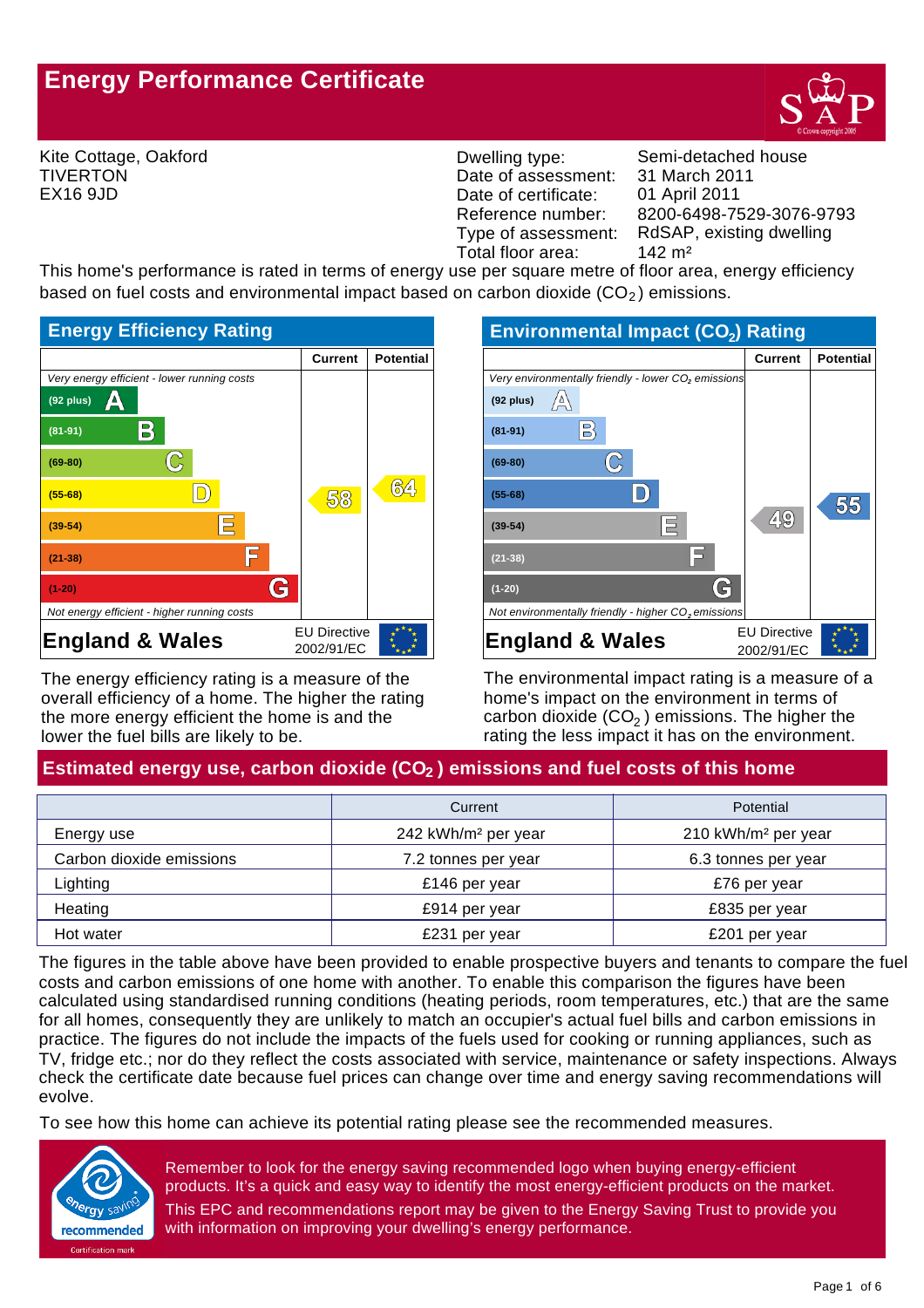# **Energy Performance Certificate**



Kite Cottage, Oakford TIVERTON EX16 9JD

Dwelling type: Semi-detached house Date of assessment: Date of certificate: Reference number:<br>Type of assessment: Total floor area: 142 m<sup>2</sup>

8200-6498-7529-3076-9793 01 April 2011 31 March 2011 RdSAP, existing dwelling

This home's performance is rated in terms of energy use per square metre of floor area, energy efficiency based on fuel costs and environmental impact based on carbon dioxide  $(CO<sub>2</sub>)$  emissions.



The energy efficiency rating is a measure of the overall efficiency of a home. The higher the rating the more energy efficient the home is and the lower the fuel bills are likely to be.

| <b>Environmental Impact (CO<sub>2</sub>) Rating</b>             |                     |                  |
|-----------------------------------------------------------------|---------------------|------------------|
|                                                                 | <b>Current</b>      | <b>Potential</b> |
| Very environmentally friendly - lower CO <sub>2</sub> emissions |                     |                  |
| $\sqrt{\overline{V}}$<br>$(92$ plus)                            |                     |                  |
| $\mathbb{B}$<br>$(81-91)$                                       |                     |                  |
| $(69-80)$                                                       |                     |                  |
| $(55-68)$                                                       |                     |                  |
| 巨<br>$(39-54)$                                                  | 49                  |                  |
| $(21-38)$                                                       |                     |                  |
| $(1-20)$                                                        |                     |                  |
| Not environmentally friendly - higher CO <sub>2</sub> emissions |                     |                  |
| <b>England &amp; Wales</b>                                      | <b>EU Directive</b> |                  |
|                                                                 | 2002/91/EC          |                  |

The environmental impact rating is a measure of a home's impact on the environment in terms of carbon dioxide (CO $_2$  ) emissions. The higher the rating the less impact it has on the environment.

## Estimated energy use, carbon dioxide (CO<sub>2</sub>) emissions and fuel costs of this home

|                          | Current                         | Potential                       |
|--------------------------|---------------------------------|---------------------------------|
| Energy use               | 242 kWh/m <sup>2</sup> per year | 210 kWh/m <sup>2</sup> per year |
| Carbon dioxide emissions | 7.2 tonnes per year             | 6.3 tonnes per year             |
| Lighting                 | £146 per year                   | £76 per year                    |
| Heating                  | £914 per year                   | £835 per year                   |
| Hot water                | £231 per year                   | £201 per year                   |

The figures in the table above have been provided to enable prospective buyers and tenants to compare the fuel costs and carbon emissions of one home with another. To enable this comparison the figures have been calculated using standardised running conditions (heating periods, room temperatures, etc.) that are the same for all homes, consequently they are unlikely to match an occupier's actual fuel bills and carbon emissions in practice. The figures do not include the impacts of the fuels used for cooking or running appliances, such as TV, fridge etc.; nor do they reflect the costs associated with service, maintenance or safety inspections. Always check the certificate date because fuel prices can change over time and energy saving recommendations will evolve.

To see how this home can achieve its potential rating please see the recommended measures.



Remember to look for the energy saving recommended logo when buying energy-efficient products. It's a quick and easy way to identify the most energy-efficient products on the market. This EPC and recommendations report may be given to the Energy Saving Trust to provide you with information on improving your dwelling's energy performance.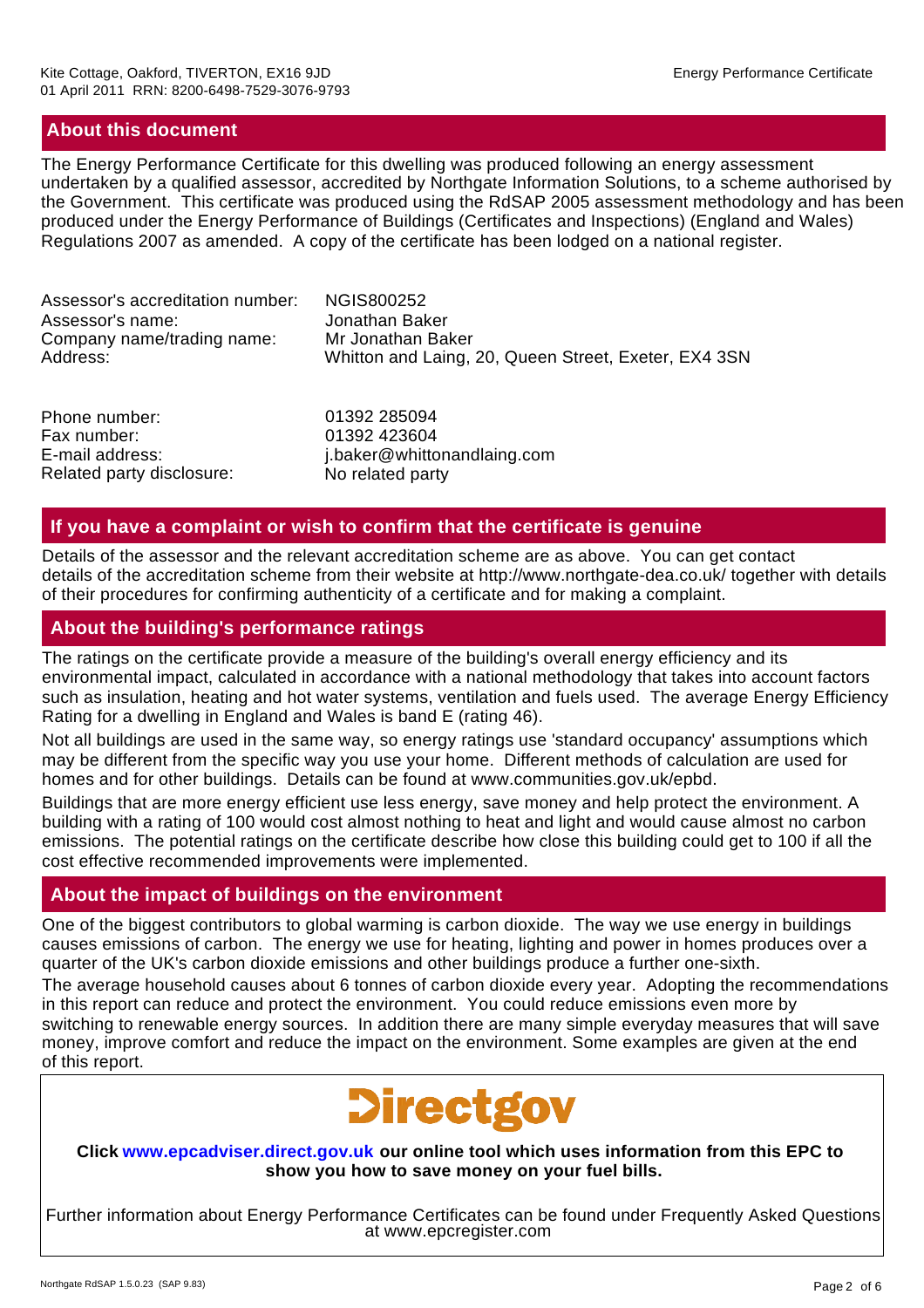## **About this document**

The Energy Performance Certificate for this dwelling was produced following an energy assessment undertaken by a qualified assessor, accredited by Northgate Information Solutions, to a scheme authorised by the Government. This certificate was produced using the RdSAP 2005 assessment methodology and has been produced under the Energy Performance of Buildings (Certificates and Inspections) (England and Wales) Regulations 2007 as amended. A copy of the certificate has been lodged on a national register.

| Assessor's accreditation number: | NGIS800252                                                |
|----------------------------------|-----------------------------------------------------------|
| Assessor's name:                 | Jonathan Baker                                            |
| Company name/trading name:       | Mr Jonathan Baker                                         |
| Address:                         | Whitton and Laing, 20, Queen Street, Exeter, EX4 3SN      |
|                                  | $\sim$ . $\sim$ $\sim$ $\sim$ $\sim$ $\sim$ $\sim$ $\sim$ |

Phone number: Fax number: E-mail address: Related party disclosure: No related party

j.baker@whittonandlaing.com 01392 423604 01392 285094

## **If you have a complaint or wish to confirm that the certificate is genuine**

Details of the assessor and the relevant accreditation scheme are as above. You can get contact details of the accreditation scheme from their website at http://www.northgate-dea.co.uk/ together with details of their procedures for confirming authenticity of a certificate and for making a complaint.

## **About the building's performance ratings**

The ratings on the certificate provide a measure of the building's overall energy efficiency and its environmental impact, calculated in accordance with a national methodology that takes into account factors such as insulation, heating and hot water systems, ventilation and fuels used. The average Energy Efficiency Rating for a dwelling in England and Wales is band E (rating 46).

Not all buildings are used in the same way, so energy ratings use 'standard occupancy' assumptions which may be different from the specific way you use your home. Different methods of calculation are used for homes and for other buildings. Details can be found at www.communities.gov.uk/epbd.

Buildings that are more energy efficient use less energy, save money and help protect the environment. A building with a rating of 100 would cost almost nothing to heat and light and would cause almost no carbon emissions. The potential ratings on the certificate describe how close this building could get to 100 if all the cost effective recommended improvements were implemented.

## **About the impact of buildings on the environment**

One of the biggest contributors to global warming is carbon dioxide. The way we use energy in buildings causes emissions of carbon. The energy we use for heating, lighting and power in homes produces over a quarter of the UK's carbon dioxide emissions and other buildings produce a further one-sixth.

The average household causes about 6 tonnes of carbon dioxide every year. Adopting the recommendations in this report can reduce and protect the environment. You could reduce emissions even more by switching to renewable energy sources. In addition there are many simple everyday measures that will save money, improve comfort and reduce the impact on the environment. Some examples are given at the end of this report.



#### **Click www.epcadviser.direct.gov.uk our online tool which uses information from this EPC to show you how to save money on your fuel bills.**

Further information about Energy Performance Certificates can be found under Frequently Asked Questions at www.epcregister.com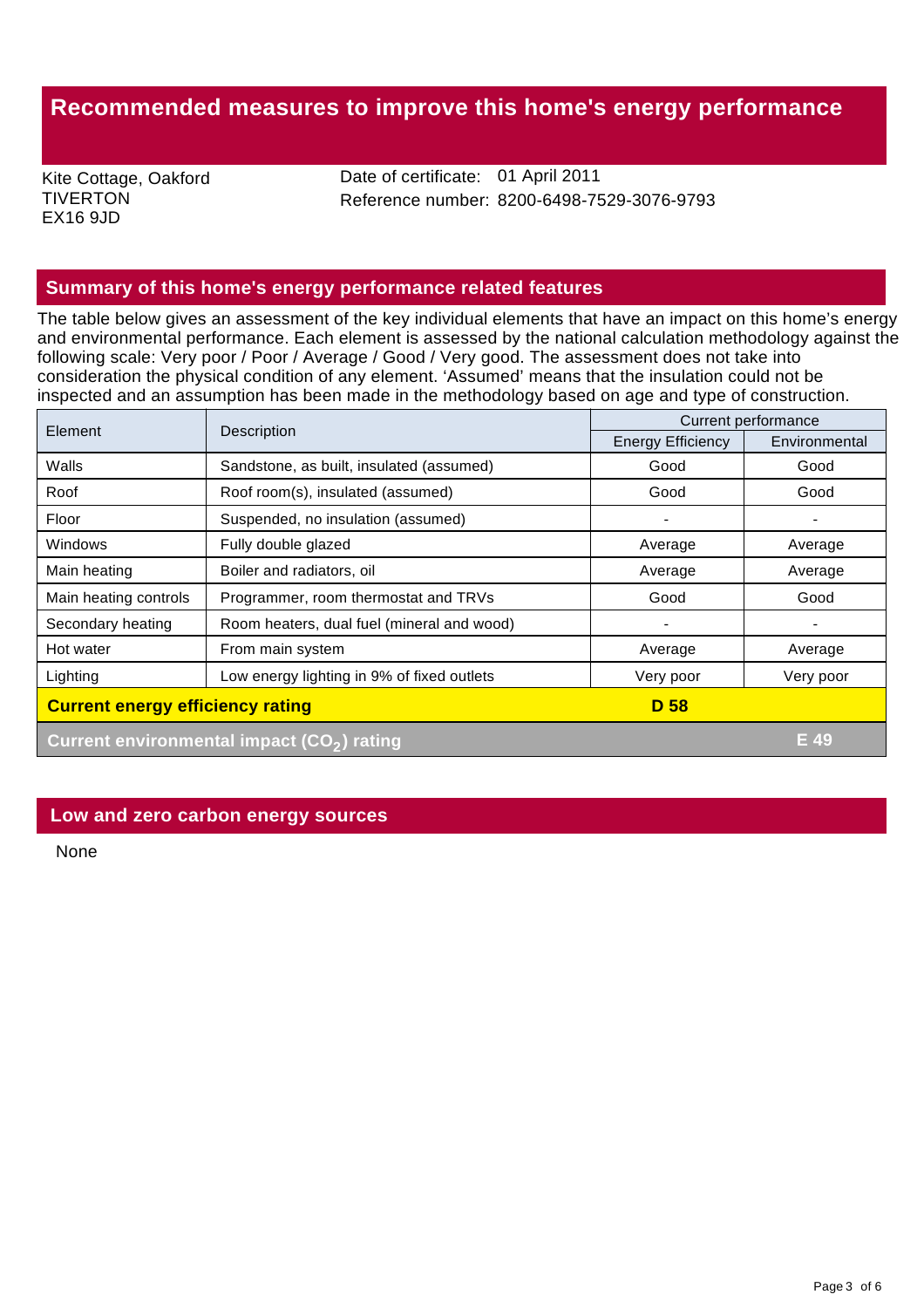## **Recommended measures to improve this home's energy performance**

Kite Cottage, Oakford **TIVERTON** EX16 9JD

Date of certificate: 01 April 2011 Reference number: 8200-6498-7529-3076-9793

## **Summary of this home's energy performance related features**

The table below gives an assessment of the key individual elements that have an impact on this home's energy and environmental performance. Each element is assessed by the national calculation methodology against the following scale: Very poor / Poor / Average / Good / Very good. The assessment does not take into consideration the physical condition of any element. 'Assumed' means that the insulation could not be inspected and an assumption has been made in the methodology based on age and type of construction.

| Element                                         | Description                                            | Current performance      |               |
|-------------------------------------------------|--------------------------------------------------------|--------------------------|---------------|
|                                                 |                                                        | <b>Energy Efficiency</b> | Environmental |
| Walls                                           | Sandstone, as built, insulated (assumed)               | Good                     | Good          |
| Roof                                            | Roof room(s), insulated (assumed)                      | Good                     | Good          |
| Floor                                           | Suspended, no insulation (assumed)                     |                          |               |
| <b>Windows</b>                                  | Fully double glazed                                    | Average                  | Average       |
| Main heating                                    | Boiler and radiators, oil                              | Average                  | Average       |
| Main heating controls                           | Programmer, room thermostat and TRVs                   | Good                     | Good          |
| Secondary heating                               | Room heaters, dual fuel (mineral and wood)             | $\blacksquare$           |               |
| Hot water                                       | From main system                                       | Average                  | Average       |
| Lighting                                        | Low energy lighting in 9% of fixed outlets             | Very poor                | Very poor     |
| <b>Current energy efficiency rating</b><br>D 58 |                                                        |                          |               |
|                                                 | Current environmental impact (CO <sub>2</sub> ) rating |                          | E 49          |

## **Low and zero carbon energy sources**

None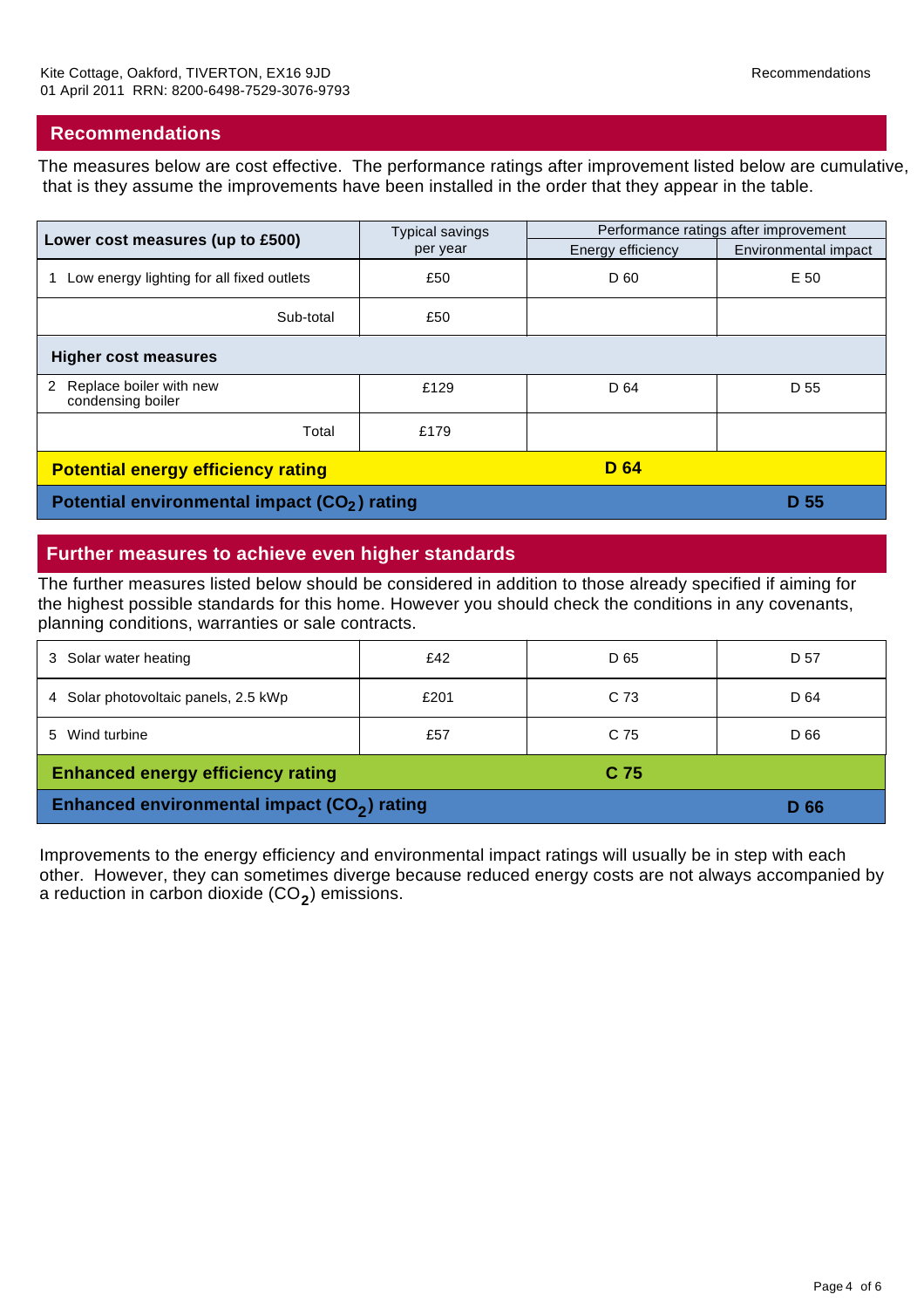## **Recommendations**

The measures below are cost effective. The performance ratings after improvement listed below are cumulative, that is they assume the improvements have been installed in the order that they appear in the table.

| Lower cost measures (up to £500)                         | <b>Typical savings</b> | Performance ratings after improvement |                      |
|----------------------------------------------------------|------------------------|---------------------------------------|----------------------|
|                                                          | per year               | Energy efficiency                     | Environmental impact |
| Low energy lighting for all fixed outlets                | £50                    | D 60                                  | E 50                 |
| Sub-total                                                | £50                    |                                       |                      |
| <b>Higher cost measures</b>                              |                        |                                       |                      |
| Replace boiler with new<br>2<br>condensing boiler        | £129                   | D 64                                  | D 55                 |
| Total                                                    | £179                   |                                       |                      |
| <b>D</b> 64<br><b>Potential energy efficiency rating</b> |                        |                                       |                      |
| Potential environmental impact (CO <sub>2</sub> ) rating |                        |                                       | D 55                 |

## **Further measures to achieve even higher standards**

The further measures listed below should be considered in addition to those already specified if aiming for the highest possible standards for this home. However you should check the conditions in any covenants, planning conditions, warranties or sale contracts.

| 3 Solar water heating                                       | £42  | D 65 | D 57 |
|-------------------------------------------------------------|------|------|------|
| 4 Solar photovoltaic panels, 2.5 kWp                        | £201 | C 73 | D 64 |
| 5 Wind turbine                                              | £57  | C 75 | D 66 |
| <b>Enhanced energy efficiency rating</b><br>C <sub>75</sub> |      |      |      |
| Enhanced environmental impact (CO <sub>2</sub> ) rating     |      |      | D 66 |

Improvements to the energy efficiency and environmental impact ratings will usually be in step with each other. However, they can sometimes diverge because reduced energy costs are not always accompanied by a reduction in carbon dioxide (CO $_{2}$ ) emissions.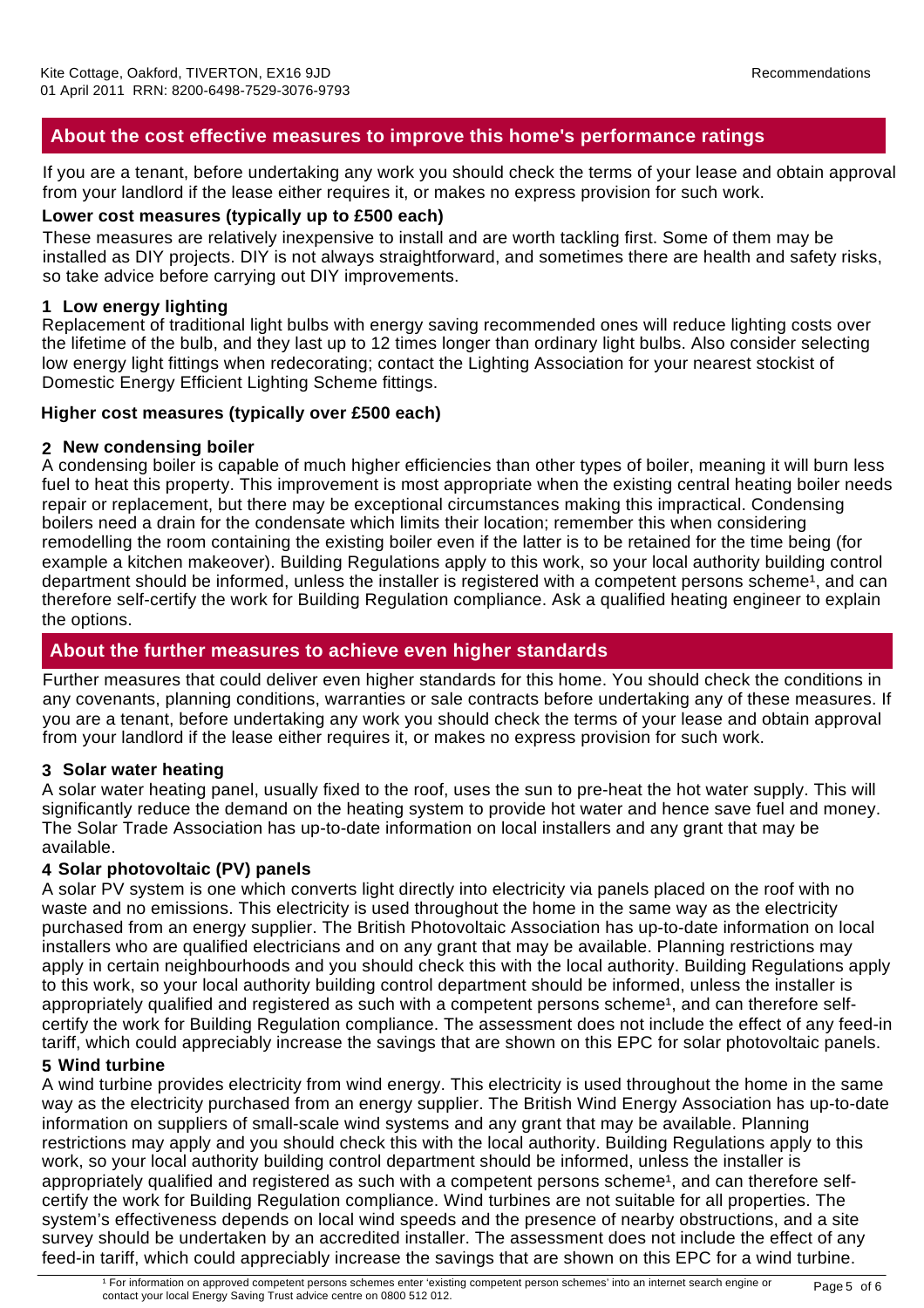## **About the cost effective measures to improve this home's performance ratings**

If you are a tenant, before undertaking any work you should check the terms of your lease and obtain approval from your landlord if the lease either requires it, or makes no express provision for such work.

## **Lower cost measures (typically up to £500 each)**

These measures are relatively inexpensive to install and are worth tackling first. Some of them may be installed as DIY projects. DIY is not always straightforward, and sometimes there are health and safety risks, so take advice before carrying out DIY improvements.

## **1 Low energy lighting**

Replacement of traditional light bulbs with energy saving recommended ones will reduce lighting costs over the lifetime of the bulb, and they last up to 12 times longer than ordinary light bulbs. Also consider selecting low energy light fittings when redecorating; contact the Lighting Association for your nearest stockist of Domestic Energy Efficient Lighting Scheme fittings.

## **Higher cost measures (typically over £500 each)**

## **2 New condensing boiler**

A condensing boiler is capable of much higher efficiencies than other types of boiler, meaning it will burn less fuel to heat this property. This improvement is most appropriate when the existing central heating boiler needs repair or replacement, but there may be exceptional circumstances making this impractical. Condensing boilers need a drain for the condensate which limits their location; remember this when considering remodelling the room containing the existing boiler even if the latter is to be retained for the time being (for example a kitchen makeover). Building Regulations apply to this work, so your local authority building control department should be informed, unless the installer is registered with a competent persons scheme<sup>1</sup>, and can therefore self-certify the work for Building Regulation compliance. Ask a qualified heating engineer to explain the options.

## **About the further measures to achieve even higher standards**

Further measures that could deliver even higher standards for this home. You should check the conditions in any covenants, planning conditions, warranties or sale contracts before undertaking any of these measures. If you are a tenant, before undertaking any work you should check the terms of your lease and obtain approval from your landlord if the lease either requires it, or makes no express provision for such work.

## **3 Solar water heating**

A solar water heating panel, usually fixed to the roof, uses the sun to pre-heat the hot water supply. This will significantly reduce the demand on the heating system to provide hot water and hence save fuel and money. The Solar Trade Association has up-to-date information on local installers and any grant that may be available.

## **4 Solar photovoltaic (PV) panels**

A solar PV system is one which converts light directly into electricity via panels placed on the roof with no waste and no emissions. This electricity is used throughout the home in the same way as the electricity purchased from an energy supplier. The British Photovoltaic Association has up-to-date information on local installers who are qualified electricians and on any grant that may be available. Planning restrictions may apply in certain neighbourhoods and you should check this with the local authority. Building Regulations apply to this work, so your local authority building control department should be informed, unless the installer is appropriately qualified and registered as such with a competent persons scheme<sup>1</sup>, and can therefore selfcertify the work for Building Regulation compliance. The assessment does not include the effect of any feed-in tariff, which could appreciably increase the savings that are shown on this EPC for solar photovoltaic panels.

## **5 Wind turbine**

A wind turbine provides electricity from wind energy. This electricity is used throughout the home in the same way as the electricity purchased from an energy supplier. The British Wind Energy Association has up-to-date information on suppliers of small-scale wind systems and any grant that may be available. Planning restrictions may apply and you should check this with the local authority. Building Regulations apply to this work, so your local authority building control department should be informed, unless the installer is appropriately qualified and registered as such with a competent persons scheme<sup>1</sup>, and can therefore selfcertify the work for Building Regulation compliance. Wind turbines are not suitable for all properties. The system's effectiveness depends on local wind speeds and the presence of nearby obstructions, and a site survey should be undertaken by an accredited installer. The assessment does not include the effect of any feed-in tariff, which could appreciably increase the savings that are shown on this EPC for a wind turbine.